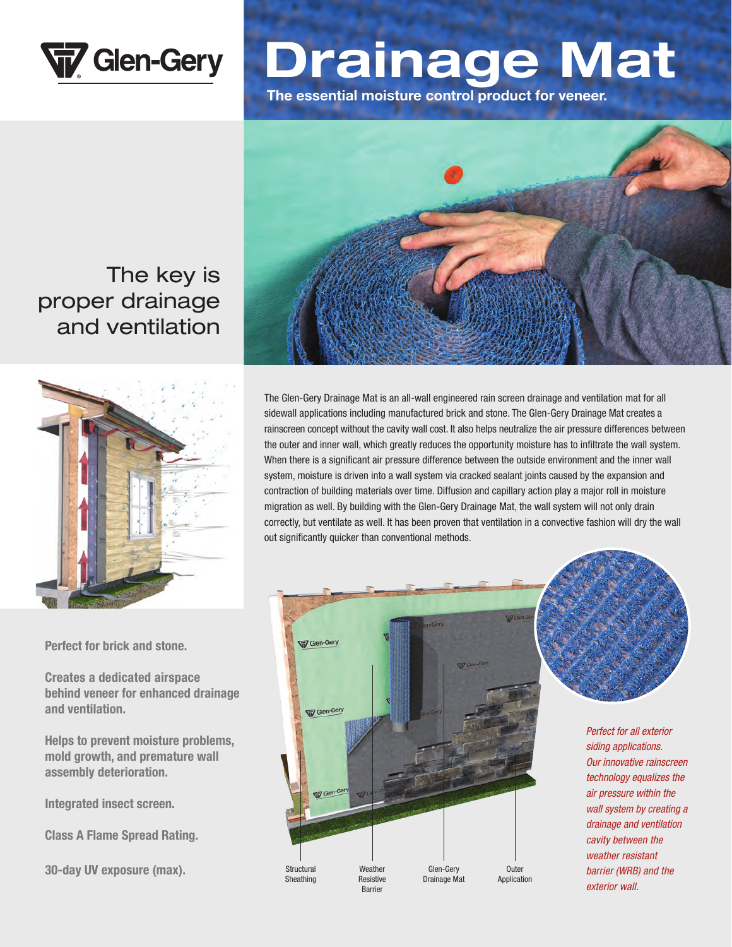

## **Drainage Mat**

**The essential moisture control product for veneer.**



## The key is proper drainage and ventilation



**Perfect for brick and stone.**

**Creates a dedicated airspace behind veneer for enhanced drainage and ventilation.**

**Helps to prevent moisture problems, mold growth, and premature wall assembly deterioration.**

**Integrated insect screen.**

**Class A Flame Spread Rating.**

**30-day UV exposure (max).** Structural

The Glen-Gery Drainage Mat is an all-wall engineered rain screen drainage and ventilation mat for all sidewall applications including manufactured brick and stone. The Glen-Gery Drainage Mat creates a rainscreen concept without the cavity wall cost. It also helps neutralize the air pressure differences between the outer and inner wall, which greatly reduces the opportunity moisture has to infiltrate the wall system. When there is a significant air pressure difference between the outside environment and the inner wall system, moisture is driven into a wall system via cracked sealant joints caused by the expansion and contraction of building materials over time. Diffusion and capillary action play a major roll in moisture migration as well. By building with the Glen-Gery Drainage Mat, the wall system will not only drain correctly, but ventilate as well. It has been proven that ventilation in a convective fashion will dry the wall out significantly quicker than conventional methods.



*Perfect for all exterior siding applications. Our innovative rainscreen technology equalizes the air pressure within the wall system by creating a drainage and ventilation cavity between the weather resistant barrier (WRB) and the exterior wall.*